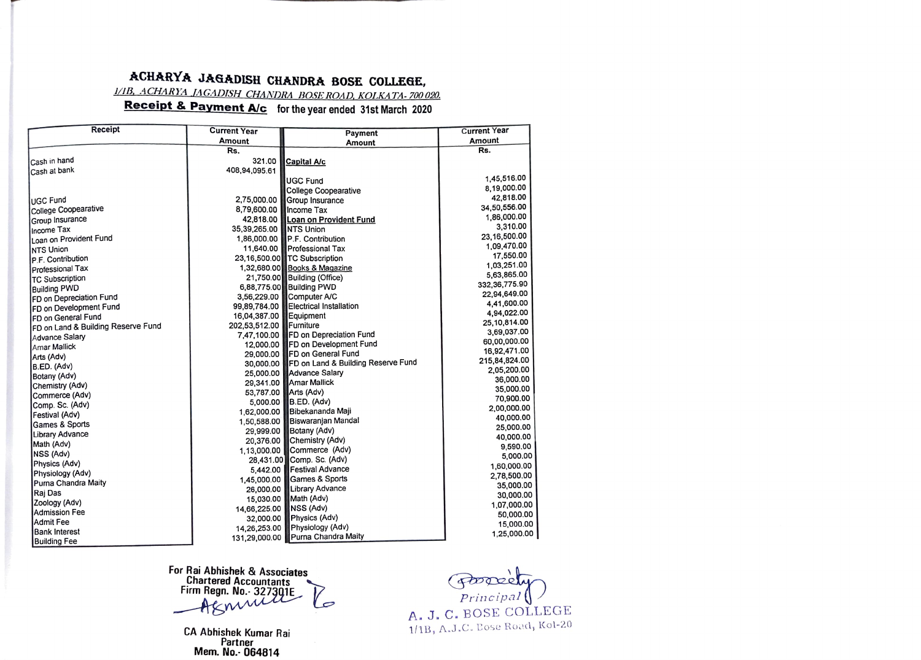## ACHARYA JAGADISH CHANDRA BOSE COLLEGE,

1/1B, ACHARYA JAGADISH CHANDRA BOSE ROAD, KOLKATA-700 020.

## Receipt & Payment A/c for the year ended 31st March 2020

| Receipt                            | <b>Current Year</b> | Payment                            | <b>Current Year</b>      |
|------------------------------------|---------------------|------------------------------------|--------------------------|
|                                    | Amount              | Amount                             | Amount                   |
|                                    | Rs.                 |                                    | Rs.                      |
| Cash in hand                       | 321.00              | <b>Capital A/c</b>                 |                          |
| Cash at bank                       | 408,94,095.61       |                                    |                          |
|                                    |                     | <b>UGC Fund</b>                    | 1,45,516.00              |
|                                    |                     | <b>College Coopearative</b>        | 8,19,000.00              |
| <b>IUGC Fund</b>                   | 2,75,000.00         | Group Insurance                    | 42,818.00                |
| College Coopearative               | 8,79,600.00         | Income Tax                         | 34,50,556.00             |
| Group Insurance                    | 42,818.00           | Loan on Provident Fund             | 1,86,000.00              |
| Income Tax                         | 35,39,265.00        | <b>NTS Union</b>                   | 3,310.00                 |
| Loan on Provident Fund             | 1,86,000.00         | P.F. Contribution                  | 23.16.500.00             |
| <b>NTS Union</b>                   | 11,640.00           | Professional Tax                   | 1,09,470.00              |
| P.F. Contribution                  |                     | 23,16,500.00 TC Subscription       | 17,550.00                |
| Professional Tax                   |                     | 1,32,680.00 Books & Magazine       | 1,03,251.00              |
| <b>TC Subscription</b>             |                     | 21,750.00 Building (Office)        | 5,63,865.00              |
| <b>Building PWD</b>                |                     | 6,88,775.00 Building PWD           | 332, 36, 775.90          |
| FD on Depreciation Fund            | 3,56,229.00         | Computer A/C                       | 22,94,649.00             |
| <b>FD on Development Fund</b>      | 99,89,784.00        | Electrical Installation            | 4.41,600.00              |
| <b>IFD on General Fund</b>         | 16,04,387.00        | Equipment                          | 4,94,022.00              |
| FD on Land & Building Reserve Fund | 202,53,512.00       | Furniture                          | 25,10,814.00             |
| Advance Salary                     | 7.47.100.00         | FD on Depreciation Fund            | 3,69,037.00              |
| Amar Mallick                       | 12,000.00           | FD on Development Fund             | 60,00,000.00             |
| Arts (Adv)                         | 29,000.00           | FD on General Fund                 | 16,92,471.00             |
| B.ED. (Adv)                        | 30,000.00           | FD on Land & Building Reserve Fund | 215,84,824.00            |
| Botany (Adv)                       | 25,000.00           | <b>Advance Salary</b>              | 2,05,200.00              |
| Chemistry (Adv)                    | 29,341.00           | <b>Amar Mallick</b>                | 36,000.00                |
| Commerce (Adv)                     | 53,787.00           | Arts (Adv)                         | 35,000.00                |
| Comp. Sc. (Adv)                    | 5,000.00            | B.ED. (Adv)                        | 70,900.00                |
| Festival (Adv)                     | 1.62.000.00         | Bibekananda Maji                   | 2,00,000.00              |
| Games & Sports                     | 1,50,588.00         | Biswaranian Mandal                 | 40,000.00                |
| Library Advance                    | 29,999.00           | Botany (Adv)                       | 25,000.00                |
| Math (Adv)                         | 20,376.00           | Chemistry (Adv)                    | 40,000.00                |
| NSS (Adv)                          | 1.13,000.00         | Commerce (Adv)                     | 9,590.00<br>5,000.00     |
| Physics (Adv)                      | 28,431.00           | Comp. Sc. (Adv)                    |                          |
| Physiology (Adv)                   | 5.442.00            | <b>Festival Advance</b>            | 1,60,000.00              |
| Purna Chandra Maity                | 1,45,000.00         | Games & Sports                     | 2,78,500.00              |
| Rai Das                            | 26,000.00           | <b>Library Advance</b>             | 35,000.00                |
| Zoology (Adv)                      | 15,030.00           | Math (Adv)                         | 30,000.00<br>1,07,000.00 |
| Admission Fee                      | 14,66,225.00        | NSS (Adv)                          | 50,000.00                |
| Admit Fee                          | 32,000.00           | Physics (Adv)                      | 15,000.00                |
| <b>Bank Interest</b>               | 14,26,253.00        | Physiology (Adv)                   | 1,25,000.00              |
| <b>Building Fee</b>                | 131,29,000.00       | Purna Chandra Maity                |                          |

For Rai Abhishek & Associates<br>Chartered Accountants<br>Firm Regn. No. 327301E Aknin  $\mathcal{P}$ 

CA Abhishek Kumar Rai Mem. No. 064814

Francipal A. J. C. BOSE COLLEGE 1/1B, A.J.C. Eose Road, Kol-20